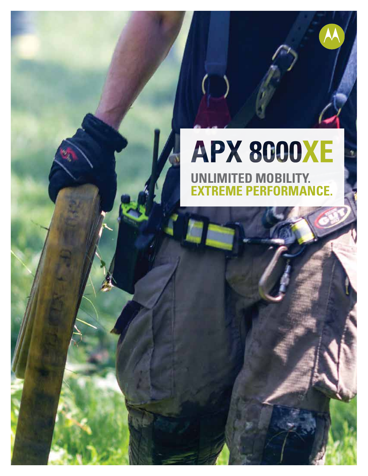# **APX 8000XE UNLIMITED MOBILITY. EME PERFORMANCE.**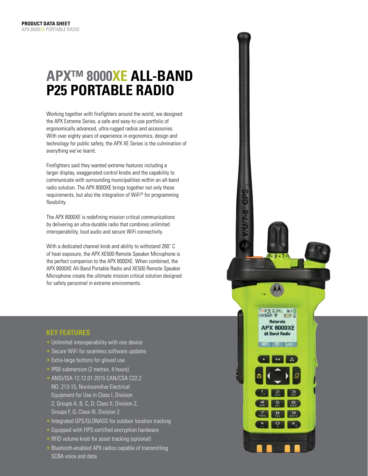## **APX™ 8000XE ALL-BAND P25 PORTABLE RADIO**

Working together with firefighters around the world, we designed the APX Extreme Series, a safe and easy-to-use portfolio of ergonomically advanced, ultra-rugged radios and accessories. With over eighty years of experience in ergonomics, design and technology for public safety, the APX XE Series is the culmination of everything we've learnt.

Firefighters said they wanted extreme features including a larger display, exaggerated control knobs and the capability to communicate with surrounding municipalities within an all-band radio solution. The APX 8000XE brings together not only these requirements, but also the integration of WiFi® for programming flexibility.

The APX 8000XE is redefining mission critical communications by delivering an ultra-durable radio that combines unlimited interoperability, loud audio and secure WiFi connectivity.

With a dedicated channel knob and ability to withstand 260˚ C of heat exposure, the APX XE500 Remote Speaker Microphone is the perfect companion to the APX 8000XE. When combined, the APX 8000XE All-Band Portable Radio and XE500 Remote Speaker Microphone create the ultimate mission critical solution designed for safety personnel in extreme environments.

#### **KEY FEATURES**

- Unlimited interoperability with one device
- Secure WiFi for seamless software updates
- Extra-large buttons for gloved use
- IP68 submersion (2 metres, 4 hours)
- ANSI/ISA-12.12.01-2015 CAN/CSA C22.2 NO. 213-15, Nonincendive Electrical Equipment for Use in Class I, Division 2, Groups A, B, C, D; Class II, Division 2, Groups F, G; Class III, Division 2
- Integrated GPS/GLONASS for outdoor location tracking
- Equipped with FIPS-certified encryption hardware
- RFID volume knob for asset tracking (optional)
- Bluetooth-enabled APX radios capable of transmitting SCBA voice and data

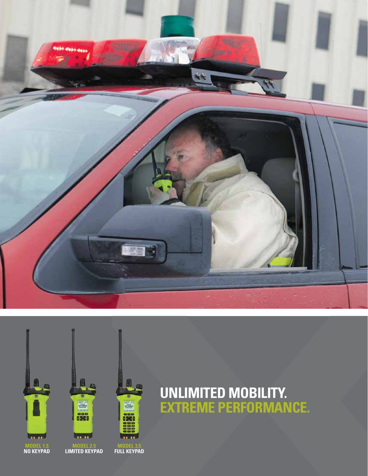



## **UNLIMITED MOBILITY. EXTREME PERFORMANCE.**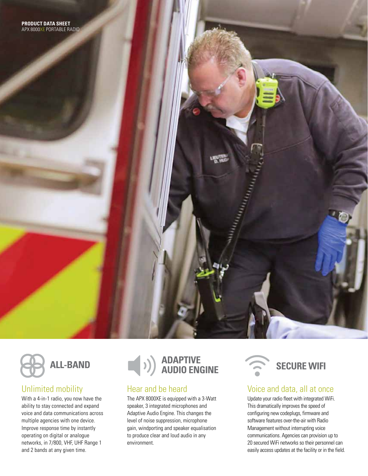

## Unlimited mobility

With a 4-in-1 radio, you now have the ability to stay connected and expand voice and data communications across multiple agencies with one device. Improve response time by instantly operating on digital or analogue networks, in 7/800, VHF, UHF Range 1 and 2 bands at any given time.



## Hear and be heard

The APX 8000XE is equipped with a 3-Watt speaker, 3 integrated microphones and Adaptive Audio Engine. This changes the level of noise suppression, microphone gain, windporting and speaker equalisation to produce clear and loud audio in any environment.



### Voice and data, all at once

Update your radio fleet with integrated WiFi. This dramatically improves the speed of configuring new codeplugs, firmware and software features over-the-air with Radio Management without interrupting voice communications. Agencies can provision up to 20 secured WiFi networks so their personnel can easily access updates at the facility or in the field.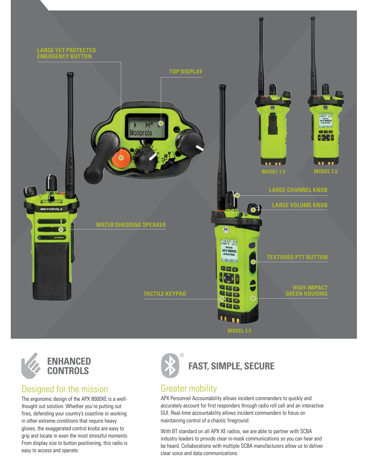



## Designed for the mission

The ergonomic design of the APX 8000XE is a wellthought out solution. Whether you're putting out fires, defending your country's coastline or working in other extreme conditions that require heavy gloves, the exaggerated control knobs are easy to grip and locate in even the most stressful moments. From display size to button positioning, this radio is easy to access and operate.



**FAST, SIMPLE, SECURE** 

## Greater mobility

APX Personnel Accountability allows incident commanders to quickly and accurately account for first responders through radio roll call and an interactive GUI. Real-time accountability allows incident commanders to focus on maintaining control of a chaotic fireground.

With BT standard on all APX XE radios, we are able to partner with SCBA industry leaders to provide clear in-mask communications so you can hear and be heard. Collaborations with multiple SCBA manufacturers allow us to deliver clear voice and data communications.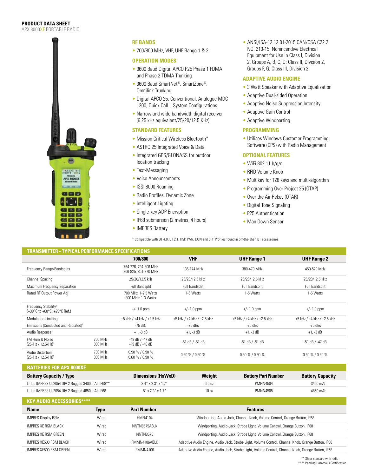#### **PRODUCT DATA SHEET**

APX 8000XE PORTABLE RADIO



#### **RF BANDS**

• 700/800 MHz, VHF, UHF Range 1 & 2

#### **OPERATION MODES**

- 9600 Baud Digital APCO P25 Phase 1 FDMA and Phase 2 TDMA Trunking
- 3600 Baud SmartNet<sup>®</sup>, SmartZone®, Omnilink Trunking
- Digital APCO 25, Conventional, Analogue MDC 1200, Quick Call II System Configurations
- Narrow and wide bandwidth digital receiver (6.25 kHz equivalent/25/20/12.5 KHz)

#### **STANDARD FEATURES**

- Mission Critical Wireless Bluetooth\*
- ASTRO 25 Integrated Voice & Data
- Integrated GPS/GLONASS for outdoor location tracking
- Text-Messaging
- Voice Announcements
- ISSI 8000 Roaming
- Radio Profiles, Dynamic Zone
- Intelligent Lighting
- Single-key ADP Encryption
- IP68 submersion (2 metres, 4 hours)
- **IMPRES Battery**

\* Compatible with BT 4.0, BT 2.1, HSP, PAN, DUN and SPP Profiles found in off-the-shelf BT accessories

• ANSI/ISA-12.12.01-2015 CAN/CSA C22.2 NO. 213-15, Nonincendive Electrical Equipment for Use in Class I, Division 2, Groups A, B, C, D; Class II, Division 2, Groups F, G; Class III, Division 2

#### **ADAPTIVE AUDIO ENGINE**

- 3 Watt Speaker with Adaptive Equalisation
- Adaptive Dual-sided Operation
- Adaptive Noise Suppression Intensity
- Adaptive Gain Control
- Adaptive Windporting

#### **PROGRAMMING**

• Utilises Windows Customer Programming Software (CPS) with Radio Management

#### **OPTIONAL FEATURES**

- WiFi 802.11 b/g/n
- RFID Volume Knob
- Multikey for 128 keys and multi-algorithm
- Programming Over Project 25 (OTAP)
- Over the Air Rekey (OTAR)
- Digital Tone Signaling
- P25 Authentication
- Man Down Sensor

| <b>TRANSMITTER - TYPICAL PERFORMANCE SPECIFICATIONS</b>                                                  |                    |                                              |                                           |                                           |                                           |  |
|----------------------------------------------------------------------------------------------------------|--------------------|----------------------------------------------|-------------------------------------------|-------------------------------------------|-------------------------------------------|--|
|                                                                                                          |                    | 700/800                                      | <b>VHF</b>                                | <b>UHF Range 1</b>                        | <b>UHF Range 2</b>                        |  |
| Frequency Range/Bandsplits                                                                               |                    | 764-776, 794-806 MHz<br>806-825, 851-870 MHz | 136-174 MHz                               | 380-470 MHz                               | 450-520 MHz                               |  |
| <b>Channel Spacing</b>                                                                                   |                    | 25/20/12.5 kHz                               | 25/20/12.5 kHz                            | 25/20/12.5 kHz                            | 25/20/12.5 kHz                            |  |
| Maximum Frequency Separation                                                                             |                    | Full Bandsplit                               | Full Bandsplit                            | Full Bandsplit                            | Full Bandsplit                            |  |
| Rated RF Output Power Adj <sup>1</sup>                                                                   |                    | 700 MHz: 1-2.5 Watts<br>800 MHz: 1-3 Watts   | 1-6 Watts                                 | 1-5 Watts                                 | 1-5 Watts                                 |  |
| Frequency Stability <sup>1</sup><br>$(-30^{\circ}C \text{ to } +60^{\circ}C; +25^{\circ}C \text{ Ref.})$ |                    | $+/- 1.0$ ppm                                | $+/- 1.0$ ppm                             | $+/- 1.0$ ppm                             | $+/- 1.0$ ppm                             |  |
| Modulation Limiting <sup>1</sup>                                                                         |                    | $\pm 5$ kHz / $\pm 4$ kHz / $\pm 2.5$ kHz    | $\pm 5$ kHz / $\pm 4$ kHz / $\pm 2.5$ kHz | $\pm 5$ kHz / $\pm 4$ kHz / $\pm 2.5$ kHz | $\pm 5$ kHz / $\pm 4$ kHz / $\pm 2.5$ kHz |  |
| Emissions (Conducted and Radiated) <sup>1</sup>                                                          |                    | $-75$ dBc                                    | -75 dBc                                   | -75 dBc                                   | -75 dBc                                   |  |
| Audio Response <sup>1</sup>                                                                              |                    | $+1, -3$ dB                                  | $+1, -3$ dB                               | $+1$ , -3 dB                              | $+1$ , -3 dB                              |  |
| FM Hum & Noise<br>$(25kHz / 12.5kHz)^1$                                                                  | 700 MHz<br>800 MHz | -49 dB / -47 dB<br>$-49$ dB $/ -46$ dB       | $-51$ dB / $-51$ dB                       | $-51$ dB $/$ -51 dB                       | $-51$ dB / $-47$ dB                       |  |
| Audio Distortion<br>(25kHz / 12.5kHz) <sup>1</sup>                                                       | 700 MHz<br>800 MHz | $0.90\%$ / $0.90\%$<br>$0.60\% / 0.90\%$     | $0.50\%$ / $0.90\%$                       | $0.50\% / 0.90\%$                         | $0.60\%$ / $0.90\%$                       |  |
| <b>RATTERIES FOR APY ROODYF</b>                                                                          |                    |                                              |                                           |                                           |                                           |  |

| <b>PALLEMEY I VILALA VYVYAE</b>                   |                             |        |                            |                         |
|---------------------------------------------------|-----------------------------|--------|----------------------------|-------------------------|
| <b>Battery Capacity / Type</b>                    | Dimensions (HxWxD)          | Weight | <b>Battery Part Number</b> | <b>Battery Capacity</b> |
| Li-Ion IMPRES UL2054 DIV 2 Rugged 3400 mAh IP68** | $3.4''$ x $2.3''$ x $1.7''$ | 6.5 იz | PMNN4504                   | 3400 mAh                |
| Li-Ion IMPRES UL2054 DIV 2 Rugged 4850 mAh IP68   | $5''$ x 2.3" x 1.7"         | 10 oz  | PMNN4505                   | 4850 mAh                |

| <b>KEY AUDIO ACCESSORIES*****</b> |       |                    |                                                                                                    |
|-----------------------------------|-------|--------------------|----------------------------------------------------------------------------------------------------|
| <b>Name</b>                       | Type  | <b>Part Number</b> | <b>Features</b>                                                                                    |
| <b>IMPRES Display RSM</b>         | Wired | HMN4104            | Windporting, Audio Jack, Channel Knob, Volume Control, Orange Button, IP68                         |
| IMPRES XE RSM BLACK               | Wired | NNTN8575ABIK       | Windporting, Audio Jack, Strobe Light, Volume Control, Orange Button, IP68                         |
| IMPRES XF RSM GREEN               | Wired | NNTN8575           | Windporting, Audio Jack, Strobe Light, Volume Control, Orange Button, IP68                         |
| IMPRES XE500 RSM BLACK            | Wired | PMMN4106ABIK       | Adaptive Audio Engine, Audio Jack, Strobe Light, Volume Control, Channel Knob, Orange Button, IP68 |
| IMPRES XE500 RSM GREEN            | Wired | PMMN4106           | Adaptive Audio Engine, Audio Jack, Strobe Light, Volume Control, Channel Knob, Orange Button, IP68 |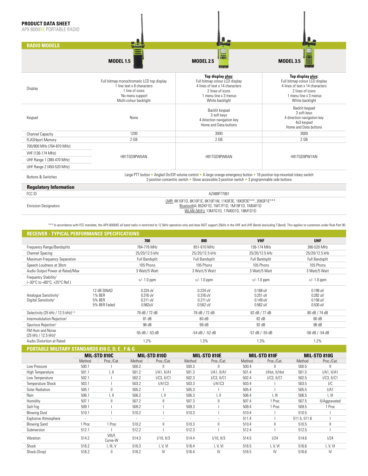#### **PRODUCT DATA SHEET**

APX 8000XE PORTABLE RADIO

| <b>RADIO MODELS</b>                                                                                      |                                                                                                                                         |                                                                                                                                                                                                                              |                                                                                                                                                        |  |  |
|----------------------------------------------------------------------------------------------------------|-----------------------------------------------------------------------------------------------------------------------------------------|------------------------------------------------------------------------------------------------------------------------------------------------------------------------------------------------------------------------------|--------------------------------------------------------------------------------------------------------------------------------------------------------|--|--|
|                                                                                                          | <b>MODEL 1.5</b>                                                                                                                        | 븦<br>1001<br><b>MODEL 2.5</b>                                                                                                                                                                                                | <b>MODEL 3.5</b>                                                                                                                                       |  |  |
| Display                                                                                                  | Full bitmap monochromatic LCD top display<br>1 line text x 8 characters<br>1 line of icons<br>No menu support<br>Multi-colour backlight | Top display plus:<br>Full bitmap colour LCD display<br>4 lines of text x 14 characters<br>2 lines of icons<br>1 menu line x 3 menus<br>White backlight                                                                       | Top display plus:<br>Full bitmap colour LCD display<br>4 lines of text x 14 characters<br>2 lines of icons<br>1 menu line x 3 menus<br>White backlight |  |  |
| Keypad                                                                                                   | None                                                                                                                                    | Backlit keypad<br>3 soft keys<br>4 direction navigation key<br>Home and Data buttons                                                                                                                                         | Backlit keypad<br>3 soft keys<br>4 direction navigation key<br>4x3 keypad<br>Home and Data buttons                                                     |  |  |
| <b>Channel Capacity</b>                                                                                  | 1200                                                                                                                                    | 3000                                                                                                                                                                                                                         | 3000                                                                                                                                                   |  |  |
| <b>FLASHport Memory</b>                                                                                  | 2 <sub>GB</sub>                                                                                                                         | 2 GB                                                                                                                                                                                                                         | 2 <sub>GB</sub>                                                                                                                                        |  |  |
| 700/800 MHz (764-870 MHz)<br>VHF (136-174 MHz)<br>UHF Range 1 (380-470 MHz)<br>UHF Range 2 (450-520 MHz) | H91TGD9PW5AN                                                                                                                            | H91TGD9PW6AN                                                                                                                                                                                                                 | H91TGD9PW7AN                                                                                                                                           |  |  |
| <b>Buttons &amp; Switches</b>                                                                            |                                                                                                                                         | Large PTT button • Angled On/Off volume control • X-large orange emergency button • 16 position top-mounted rotary switch<br>2-position concentric switch . Glove accessible 3-position switch . 3 programmable side buttons |                                                                                                                                                        |  |  |
| <b>Regulatory Information</b>                                                                            |                                                                                                                                         |                                                                                                                                                                                                                              |                                                                                                                                                        |  |  |
| FCC ID                                                                                                   |                                                                                                                                         | AZ489FT7061                                                                                                                                                                                                                  |                                                                                                                                                        |  |  |
| _ _ _ _                                                                                                  | LMR: 8K10F1D, 8K10F1E, 8K10F1W, 11K0F3E, 16K0F3E***, 20K0F1E***                                                                         |                                                                                                                                                                                                                              |                                                                                                                                                        |  |  |

Emission Designators

#### LMR: 8K10F1D, 8K10F1E, 8K10F1W, 11K0F3E, 16K0F3E\*\*\*, 20K0F1E\*\*\* Bluetooth®: 852KF1D, 1M17F1D, 1M19F1D, 1M04F1D WLAN (WiFi): 13M7G1D, 17M0D1D, 18M1D1D

\*\*\* In accordance with FCC mandate, the APX 8000XE all band radio is restricted to 12.5kHz operation only and does NOT support 25kHz in the VHF and UHF Bands (excluding T-Band). This applies to customers under Rule Part 90

| <b>RECEIVER - TYPICAL PERFORMANCE SPECIFICATIONS</b>                                             |                                                 |                                             |                                              |                                                |                                                  |
|--------------------------------------------------------------------------------------------------|-------------------------------------------------|---------------------------------------------|----------------------------------------------|------------------------------------------------|--------------------------------------------------|
|                                                                                                  |                                                 | 700                                         | 800                                          | <b>VHF</b>                                     | <b>UHF</b>                                       |
| Frequency Range/Bandsplits                                                                       |                                                 | 764-776 MHz                                 | 851-870 MHz                                  | 136-174 MHz                                    | 380-520 MHz                                      |
| Channel Spacing                                                                                  |                                                 | 25/20/12.5 kHz                              | 25/20/12.5 kHz                               | 25/20/12.5 kHz                                 | 25/20/12.5 kHz                                   |
| Maximum Frequency Separation                                                                     |                                                 | <b>Full Bandsplit</b>                       | <b>Full Bandsplit</b>                        | Full Bandsplit                                 | Full Bandsplit                                   |
| Speech Loudness at 30cm                                                                          |                                                 | 105 Phons                                   | 105 Phons                                    | 105 Phons                                      | 105 Phons                                        |
| Audio Output Power at Rated/Max                                                                  |                                                 | 3 Watt/5 Watt                               | 3 Watt/5 Watt                                | 3 Watt/5 Watt                                  | 3 Watt/5 Watt                                    |
| Frequency Stability <sup>1</sup><br>$(-30^{\circ}$ C to +60 $^{\circ}$ C; +25 $^{\circ}$ C Ref.) |                                                 | $+/- 1.0$ ppm                               | $+/- 1.0$ ppm                                | $+/- 1.0$ ppm                                  | $+/- 1.0$ ppm                                    |
| Analoque Sensitivity <sup>1</sup><br>Digital Sensitivity <sup>2</sup>                            | 12 dB SINAD<br>1% BER<br>5% BER<br>5% BER Faded | 0.224 uV<br>0.316 uV<br>0.211 uV<br>0.562uV | 0.224 uV<br>0.316 uV<br>0.211 uV<br>0.562 uV | $0.168$ uV<br>0.251 uV<br>0.149 uV<br>0.562 uV | $0.199$ uV<br>0.282 uV<br>$0.158$ uV<br>0.530 uV |
| Selectivity (25 kHz / 12.5 kHz) <sup>1,5</sup>                                                   |                                                 | 79 dB / 72 dB                               | 78 dB / 72 dB                                | 82 dB / 77 dB                                  | 80 dB / 74 dB                                    |
| Intermodulation Rejection <sup>1</sup>                                                           |                                                 | 81 dB                                       | 80 dB                                        | 82 dB                                          | 80 dB                                            |
| Spurious Rejection <sup>1</sup>                                                                  |                                                 | 98 dB                                       | 98 dB                                        | 92 dB                                          | 98 dB                                            |
| FM Hum and Noise<br>(25 kHz / 12.5 kHz) <sup>1</sup>                                             |                                                 | -55 dB / -53 dB                             | -54 dB / -52 dB                              | -57 dB / -55 dB                                | -56 dB / -54 dB                                  |
| Audio Distortion at Rated                                                                        |                                                 | 1.2%                                        | 1.3%                                         | 1.3%                                           | 1.2%                                             |

| PORTABLE MILITARY STANDARDS 810 C, D, E , F & G |
|-------------------------------------------------|
|-------------------------------------------------|

|                             |                          | MIL-STD 810C       |        | MIL-STD 810D     |        | MIL-STD 810E     |        | MIL-STD 810F     |              | MIL-STD 810G     |
|-----------------------------|--------------------------|--------------------|--------|------------------|--------|------------------|--------|------------------|--------------|------------------|
|                             | Method                   | Proc./Cat.         | Method | Proc./Cat.       | Method | Proc./Cat.       | Method | Proc./Cat.       | Method       | Proc./Cat.       |
| Low Pressure                | 500.1                    |                    | 500.2  |                  | 500.3  |                  | 500.4  |                  | 500.5        |                  |
| High Temperature            | 501.1                    | l, II              | 501.2  | $I/A1$ , $II/A1$ | 501.3  | $I/A1$ , $II/A1$ | 501.4  | I/Hot, II/Hot    | 501.5        | $I/A1$ , $II/A1$ |
| Low Temperature             | 502.1                    |                    | 502.2  | $I/C3$ , $II/C1$ | 502.3  | $I/C3$ , $II/C1$ | 502.4  | $I/C3$ , $II/C1$ | 502.5        | $I/C3$ , $II/C1$ |
| Temperature Shock           | 503.1                    |                    | 503.2  | I/A1C3           | 503.3  | I/A1C3           | 503.4  |                  | 503.5        | I/C              |
| <b>Solar Radiation</b>      | 505.1                    |                    | 505.2  |                  | 505.3  |                  | 505.4  |                  | 505.5        | I/A1             |
| Rain                        | 506.1                    | l. II              | 506.2  | 1, II            | 506.3  | I, II            | 506.4  | I. III           | 506.5        | I. III           |
| Humidity                    | 507.1                    |                    | 507.2  |                  | 507.3  |                  | 507.4  | 1 Proc           | 507.5        | II/Aggravated    |
| Salt Fog                    | 509.1                    |                    | 509.2  |                  | 509.3  |                  | 509.4  | 1 Proc           | 509.5        | 1 Proc           |
| <b>Blowing Dust</b>         | 510.1                    |                    | 510.2  |                  | 510.3  |                  | 510.4  |                  | 510.5        |                  |
| <b>Explosive Atmosphere</b> | $\overline{\phantom{a}}$ | ۰.                 | ٠      | ٠                | $\sim$ | $\sim$           | 511.4  |                  | 511.5, 511.6 |                  |
| <b>Blowing Sand</b>         | 1 Proc                   | 1 Proc             | 510.2  |                  | 510.3  |                  | 510.4  | $\mathbf{I}$     | 510.5        | Ш                |
| Submersion                  | 512.1                    |                    | 512.2  |                  | 512.3  |                  | 512.4  |                  | 512.5        |                  |
| Vibration                   | 514.2                    | VIII/F,<br>Curve-W | 514.3  | I/10, II/3       | 514.4  | $I/10$ , $II/3$  | 514.5  | 1/24             | 514.6        | 1/24             |
| Shock                       | 516.2                    | I, III, V          | 516.3  | I, V, VI         | 516.4  | I, V, VI         | 516.5  | I, V, VI         | 516.6        | I, V, VI         |
| Shock (Drop)                | 516.2                    | Ш                  | 516.2  | IV               | 516.4  | IV               | 516.5  | IV               | 516.6        | IV               |